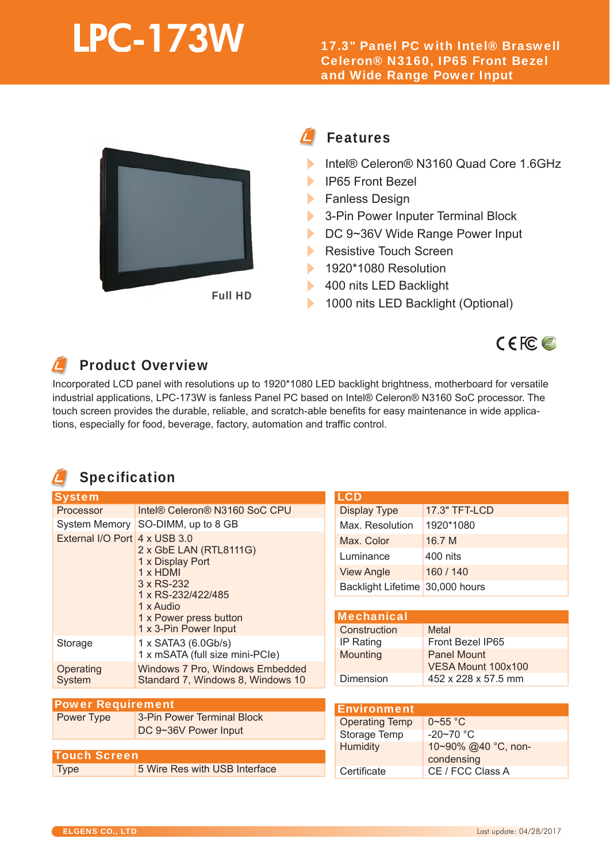# **LPC-173W**

17.3" Panel PC with Intel® Braswell Celeron® N3160, IP65 Front Bezel and Wide Range Power Input



#### Features Fea

- Intel® Celeron® N3160 Quad Core 1.6GHz Intel®
- ь IP65 Front Bezel IP65
- **Fanless Design**
- $\blacktriangleright$ 3-Pin Power Inputer Terminal Block
- $\blacktriangleright$ DC 9~36V Wide Range Power Input
- $\blacktriangleright$ Resistive Touch Screen
- Ы 1920\*1080 Resolution
- 400 nits LED Backlight  $\blacktriangleright$
- 1000 nits LED Backlight (Optional) ь

## Product Overview Pro

Incorporated LCD panel with resolutions up to 1920\*1080 LED backlight brightness, motherboard for versatile Incorporate industrial applications, LPC-173W is fanless Panel PC based on Intel® Celeron® N3160 SoC processor. The ap touch screen provides the durable, reliable, and scratch-able benefits for easy maintenance in wide applica-touch scree tions, especially for food, beverage, factory, automation and traffic control.

## Specification Spe

| <b>System</b>                 |                                                                                                                                                                   | <b>LCD</b>                      |                     |
|-------------------------------|-------------------------------------------------------------------------------------------------------------------------------------------------------------------|---------------------------------|---------------------|
| <b>Processor</b>              | Intel® Celeron® N3160 SoC CPU                                                                                                                                     | <b>Display Type</b>             | 17.3" TFT-LCD       |
|                               | System Memory SO-DIMM, up to 8 GB                                                                                                                                 | Max. Resolution                 | 1920*1080           |
| External I/O Port 4 x USB 3.0 | 2 x GbE LAN (RTL8111G)<br>1 x Display Port<br>$1 \times$ HDMI<br>3 x RS-232<br>1 x RS-232/422/485<br>1 x Audio<br>1 x Power press button<br>1 x 3-Pin Power Input | Max. Color                      | 16.7 M              |
|                               |                                                                                                                                                                   | Luminance                       | 400 nits            |
|                               |                                                                                                                                                                   | <b>View Angle</b>               | 160 / 140           |
|                               |                                                                                                                                                                   | Backlight Lifetime 30,000 hours |                     |
|                               |                                                                                                                                                                   |                                 |                     |
|                               |                                                                                                                                                                   | <b>Mechanical</b>               |                     |
|                               |                                                                                                                                                                   | Construction                    | <b>Metal</b>        |
| Storage                       | 1 x SATA3 (6.0Gb/s)<br>1 x mSATA (full size mini-PCle)                                                                                                            | IP Rating                       | Front Bezel IP65    |
|                               |                                                                                                                                                                   | <b>Mounting</b>                 | <b>Panel Mount</b>  |
| Operating                     | Windows 7 Pro, Windows Embedded                                                                                                                                   |                                 | VESA Mount 100x100  |
| System                        | Standard 7, Windows 8, Windows 10                                                                                                                                 | Dimension                       | 452 x 228 x 57.5 mm |
|                               |                                                                                                                                                                   |                                 |                     |
| <b>Power Requirement</b>      |                                                                                                                                                                   | <b>Environment</b>              |                     |
| Power Type                    | 3-Pin Power Terminal Block<br>DC 9~36V Power Input                                                                                                                | <b>Operating Temp</b>           | $0 - 55$ °C         |
|                               |                                                                                                                                                                   | <b>Storage Temp</b>             | $-20-70$ °C         |
|                               |                                                                                                                                                                   | <b>Humidity</b>                 | 10~90% @40 °C, non- |
| <b>Touch Screen</b>           |                                                                                                                                                                   |                                 | condensing          |
| <b>Type</b>                   | 5 Wire Res with USB Interface                                                                                                                                     | Certificate                     | CE / FCC Class A    |

 $C \in FC$